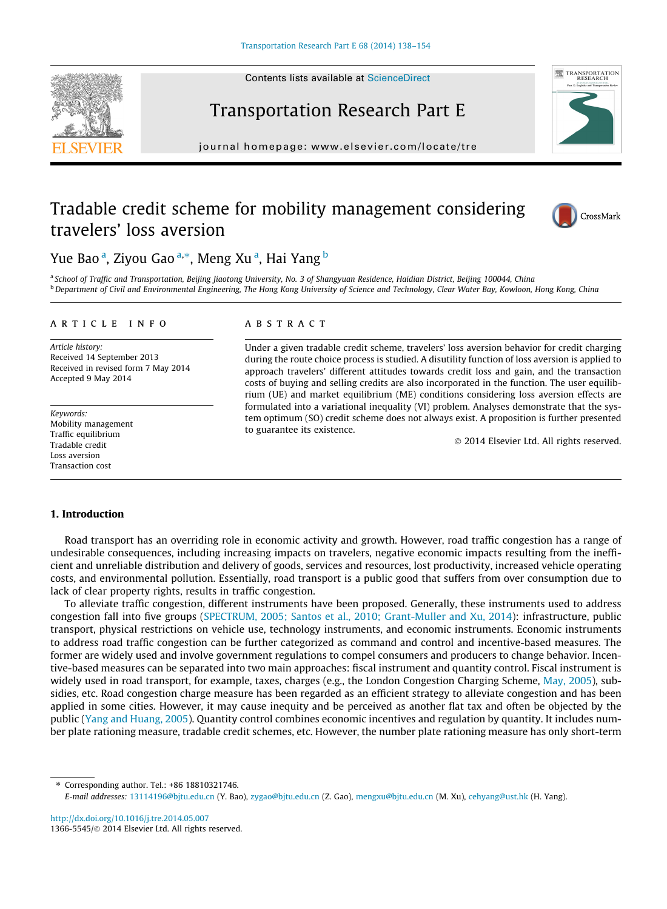Contents lists available at [ScienceDirect](http://www.sciencedirect.com/science/journal/13665545)





journal homepage: [www.elsevier.com/locate/tre](http://www.elsevier.com/locate/tre)

# TRANSPORTATION

## Tradable credit scheme for mobility management considering travelers' loss aversion



### Yue Bao<sup>a</sup>, Ziyou Gao<sup>a,</sup>\*, Meng Xuª, Hai Yang <sup>b</sup>

a School of Traffic and Transportation, Beijing Jiaotong University, No. 3 of Shangyuan Residence, Haidian District, Beijing 100044, China **b** Department of Civil and Environmental Engineering, The Hong Kong University of Science and Technology, Clear Water Bay, Kowloon, Hong Kong, China

#### article info

Article history: Received 14 September 2013 Received in revised form 7 May 2014 Accepted 9 May 2014

Keywords: Mobility management Traffic equilibrium Tradable credit Loss aversion Transaction cost

#### **ABSTRACT**

Under a given tradable credit scheme, travelers' loss aversion behavior for credit charging during the route choice process is studied. A disutility function of loss aversion is applied to approach travelers' different attitudes towards credit loss and gain, and the transaction costs of buying and selling credits are also incorporated in the function. The user equilibrium (UE) and market equilibrium (ME) conditions considering loss aversion effects are formulated into a variational inequality (VI) problem. Analyses demonstrate that the system optimum (SO) credit scheme does not always exist. A proposition is further presented to guarantee its existence.

- 2014 Elsevier Ltd. All rights reserved.

#### 1. Introduction

Road transport has an overriding role in economic activity and growth. However, road traffic congestion has a range of undesirable consequences, including increasing impacts on travelers, negative economic impacts resulting from the inefficient and unreliable distribution and delivery of goods, services and resources, lost productivity, increased vehicle operating costs, and environmental pollution. Essentially, road transport is a public good that suffers from over consumption due to lack of clear property rights, results in traffic congestion.

To alleviate traffic congestion, different instruments have been proposed. Generally, these instruments used to address congestion fall into five groups ([SPECTRUM, 2005; Santos et al., 2010; Grant-Muller and Xu, 2014](#page--1-0)): infrastructure, public transport, physical restrictions on vehicle use, technology instruments, and economic instruments. Economic instruments to address road traffic congestion can be further categorized as command and control and incentive-based measures. The former are widely used and involve government regulations to compel consumers and producers to change behavior. Incentive-based measures can be separated into two main approaches: fiscal instrument and quantity control. Fiscal instrument is widely used in road transport, for example, taxes, charges (e.g., the London Congestion Charging Scheme, [May, 2005](#page--1-0)), subsidies, etc. Road congestion charge measure has been regarded as an efficient strategy to alleviate congestion and has been applied in some cities. However, it may cause inequity and be perceived as another flat tax and often be objected by the public ([Yang and Huang, 2005\)](#page--1-0). Quantity control combines economic incentives and regulation by quantity. It includes number plate rationing measure, tradable credit schemes, etc. However, the number plate rationing measure has only short-term

Corresponding author. Tel.: +86 18810321746.

<http://dx.doi.org/10.1016/j.tre.2014.05.007> 1366-5545/© 2014 Elsevier Ltd. All rights reserved.

E-mail addresses: [13114196@bjtu.edu.cn](mailto:13114196@bjtu.edu.cn) (Y. Bao), [zygao@bjtu.edu.cn](mailto:zygao@bjtu.edu.cn) (Z. Gao), [mengxu@bjtu.edu.cn](mailto:mengxu@bjtu.edu.cn) (M. Xu), [cehyang@ust.hk](mailto:cehyang@ust.hk) (H. Yang).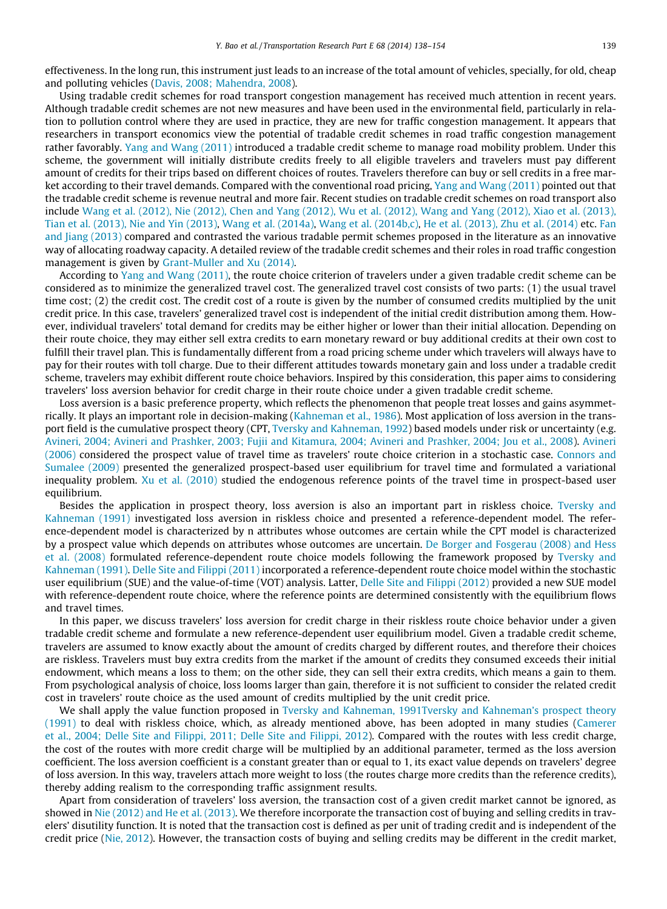effectiveness. In the long run, this instrument just leads to an increase of the total amount of vehicles, specially, for old, cheap and polluting vehicles [\(Davis, 2008; Mahendra, 2008\)](#page--1-0).

Using tradable credit schemes for road transport congestion management has received much attention in recent years. Although tradable credit schemes are not new measures and have been used in the environmental field, particularly in relation to pollution control where they are used in practice, they are new for traffic congestion management. It appears that researchers in transport economics view the potential of tradable credit schemes in road traffic congestion management rather favorably. [Yang and Wang \(2011\)](#page--1-0) introduced a tradable credit scheme to manage road mobility problem. Under this scheme, the government will initially distribute credits freely to all eligible travelers and travelers must pay different amount of credits for their trips based on different choices of routes. Travelers therefore can buy or sell credits in a free market according to their travel demands. Compared with the conventional road pricing, [Yang and Wang \(2011\)](#page--1-0) pointed out that the tradable credit scheme is revenue neutral and more fair. Recent studies on tradable credit schemes on road transport also include [Wang et al. \(2012\), Nie \(2012\), Chen and Yang \(2012\), Wu et al. \(2012\), Wang and Yang \(2012\), Xiao et al. \(2013\),](#page--1-0) [Tian et al. \(2013\), Nie and Yin \(2013\)](#page--1-0), [Wang et al. \(2014a\)](#page--1-0), [Wang et al. \(2014b,c\),](#page--1-0) [He et al. \(2013\), Zhu et al. \(2014\)](#page--1-0) etc. [Fan](#page--1-0) and  $\lim g(2013)$  compared and contrasted the various tradable permit schemes proposed in the literature as an innovative way of allocating roadway capacity. A detailed review of the tradable credit schemes and their roles in road traffic congestion management is given by [Grant-Muller and Xu \(2014\)](#page--1-0).

According to [Yang and Wang \(2011\)](#page--1-0), the route choice criterion of travelers under a given tradable credit scheme can be considered as to minimize the generalized travel cost. The generalized travel cost consists of two parts: (1) the usual travel time cost; (2) the credit cost. The credit cost of a route is given by the number of consumed credits multiplied by the unit credit price. In this case, travelers' generalized travel cost is independent of the initial credit distribution among them. However, individual travelers' total demand for credits may be either higher or lower than their initial allocation. Depending on their route choice, they may either sell extra credits to earn monetary reward or buy additional credits at their own cost to fulfill their travel plan. This is fundamentally different from a road pricing scheme under which travelers will always have to pay for their routes with toll charge. Due to their different attitudes towards monetary gain and loss under a tradable credit scheme, travelers may exhibit different route choice behaviors. Inspired by this consideration, this paper aims to considering travelers' loss aversion behavior for credit charge in their route choice under a given tradable credit scheme.

Loss aversion is a basic preference property, which reflects the phenomenon that people treat losses and gains asymmetrically. It plays an important role in decision-making ([Kahneman et al., 1986\)](#page--1-0). Most application of loss aversion in the transport field is the cumulative prospect theory (CPT, [Tversky and Kahneman, 1992](#page--1-0)) based models under risk or uncertainty (e.g. [Avineri, 2004; Avineri and Prashker, 2003; Fujii and Kitamura, 2004; Avineri and Prashker, 2004; Jou et al., 2008](#page--1-0)). [Avineri](#page--1-0) [\(2006\)](#page--1-0) considered the prospect value of travel time as travelers' route choice criterion in a stochastic case. [Connors and](#page--1-0) [Sumalee \(2009\)](#page--1-0) presented the generalized prospect-based user equilibrium for travel time and formulated a variational inequality problem. [Xu et al. \(2010\)](#page--1-0) studied the endogenous reference points of the travel time in prospect-based user equilibrium.

Besides the application in prospect theory, loss aversion is also an important part in riskless choice. [Tversky and](#page--1-0) [Kahneman \(1991\)](#page--1-0) investigated loss aversion in riskless choice and presented a reference-dependent model. The reference-dependent model is characterized by n attributes whose outcomes are certain while the CPT model is characterized by a prospect value which depends on attributes whose outcomes are uncertain. [De Borger and Fosgerau \(2008\) and Hess](#page--1-0) [et al. \(2008\)](#page--1-0) formulated reference-dependent route choice models following the framework proposed by [Tversky and](#page--1-0) [Kahneman \(1991\)](#page--1-0). [Delle Site and Filippi \(2011\)](#page--1-0) incorporated a reference-dependent route choice model within the stochastic user equilibrium (SUE) and the value-of-time (VOT) analysis. Latter, [Delle Site and Filippi \(2012\)](#page--1-0) provided a new SUE model with reference-dependent route choice, where the reference points are determined consistently with the equilibrium flows and travel times.

In this paper, we discuss travelers' loss aversion for credit charge in their riskless route choice behavior under a given tradable credit scheme and formulate a new reference-dependent user equilibrium model. Given a tradable credit scheme, travelers are assumed to know exactly about the amount of credits charged by different routes, and therefore their choices are riskless. Travelers must buy extra credits from the market if the amount of credits they consumed exceeds their initial endowment, which means a loss to them; on the other side, they can sell their extra credits, which means a gain to them. From psychological analysis of choice, loss looms larger than gain, therefore it is not sufficient to consider the related credit cost in travelers' route choice as the used amount of credits multiplied by the unit credit price.

We shall apply the value function proposed in [Tversky and Kahneman, 1991Tversky and Kahneman's prospect theory](#page--1-0) [\(1991\)](#page--1-0) to deal with riskless choice, which, as already mentioned above, has been adopted in many studies [\(Camerer](#page--1-0) [et al., 2004; Delle Site and Filippi, 2011; Delle Site and Filippi, 2012\)](#page--1-0). Compared with the routes with less credit charge, the cost of the routes with more credit charge will be multiplied by an additional parameter, termed as the loss aversion coefficient. The loss aversion coefficient is a constant greater than or equal to 1, its exact value depends on travelers' degree of loss aversion. In this way, travelers attach more weight to loss (the routes charge more credits than the reference credits), thereby adding realism to the corresponding traffic assignment results.

Apart from consideration of travelers' loss aversion, the transaction cost of a given credit market cannot be ignored, as showed in [Nie \(2012\) and He et al. \(2013\)](#page--1-0). We therefore incorporate the transaction cost of buying and selling credits in travelers' disutility function. It is noted that the transaction cost is defined as per unit of trading credit and is independent of the credit price ([Nie, 2012\)](#page--1-0). However, the transaction costs of buying and selling credits may be different in the credit market,